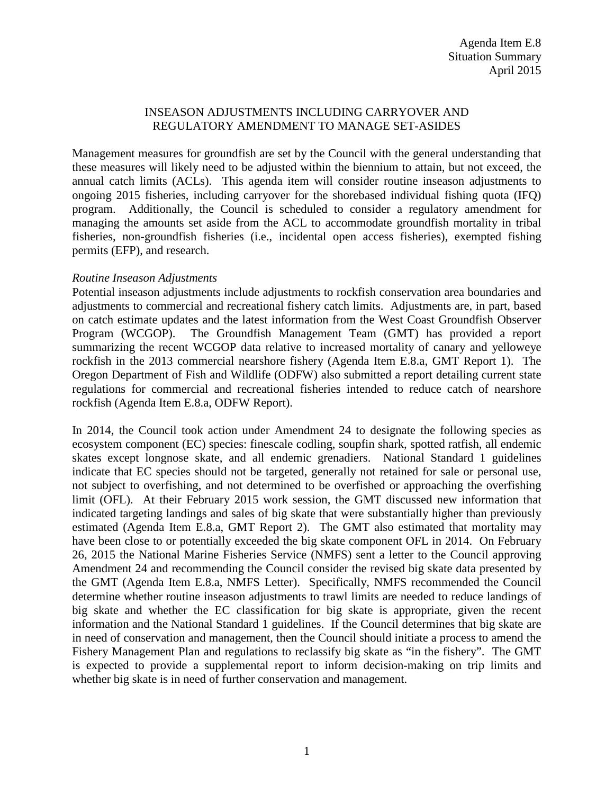### INSEASON ADJUSTMENTS INCLUDING CARRYOVER AND REGULATORY AMENDMENT TO MANAGE SET-ASIDES

Management measures for groundfish are set by the Council with the general understanding that these measures will likely need to be adjusted within the biennium to attain, but not exceed, the annual catch limits (ACLs). This agenda item will consider routine inseason adjustments to ongoing 2015 fisheries, including carryover for the shorebased individual fishing quota (IFQ) program. Additionally, the Council is scheduled to consider a regulatory amendment for managing the amounts set aside from the ACL to accommodate groundfish mortality in tribal fisheries, non-groundfish fisheries (i.e., incidental open access fisheries), exempted fishing permits (EFP), and research.

### *Routine Inseason Adjustments*

Potential inseason adjustments include adjustments to rockfish conservation area boundaries and adjustments to commercial and recreational fishery catch limits. Adjustments are, in part, based on catch estimate updates and the latest information from the West Coast Groundfish Observer Program (WCGOP). The Groundfish Management Team (GMT) has provided a report summarizing the recent WCGOP data relative to increased mortality of canary and yelloweye rockfish in the 2013 commercial nearshore fishery (Agenda Item E.8.a, GMT Report 1). The Oregon Department of Fish and Wildlife (ODFW) also submitted a report detailing current state regulations for commercial and recreational fisheries intended to reduce catch of nearshore rockfish (Agenda Item E.8.a, ODFW Report).

In 2014, the Council took action under Amendment 24 to designate the following species as ecosystem component (EC) species: finescale codling, soupfin shark, spotted ratfish, all endemic skates except longnose skate, and all endemic grenadiers. National Standard 1 guidelines indicate that EC species should not be targeted, generally not retained for sale or personal use, not subject to overfishing, and not determined to be overfished or approaching the overfishing limit (OFL). At their February 2015 work session, the GMT discussed new information that indicated targeting landings and sales of big skate that were substantially higher than previously estimated (Agenda Item E.8.a, GMT Report 2). The GMT also estimated that mortality may have been close to or potentially exceeded the big skate component OFL in 2014. On February 26, 2015 the National Marine Fisheries Service (NMFS) sent a letter to the Council approving Amendment 24 and recommending the Council consider the revised big skate data presented by the GMT (Agenda Item E.8.a, NMFS Letter). Specifically, NMFS recommended the Council determine whether routine inseason adjustments to trawl limits are needed to reduce landings of big skate and whether the EC classification for big skate is appropriate, given the recent information and the National Standard 1 guidelines. If the Council determines that big skate are in need of conservation and management, then the Council should initiate a process to amend the Fishery Management Plan and regulations to reclassify big skate as "in the fishery". The GMT is expected to provide a supplemental report to inform decision-making on trip limits and whether big skate is in need of further conservation and management.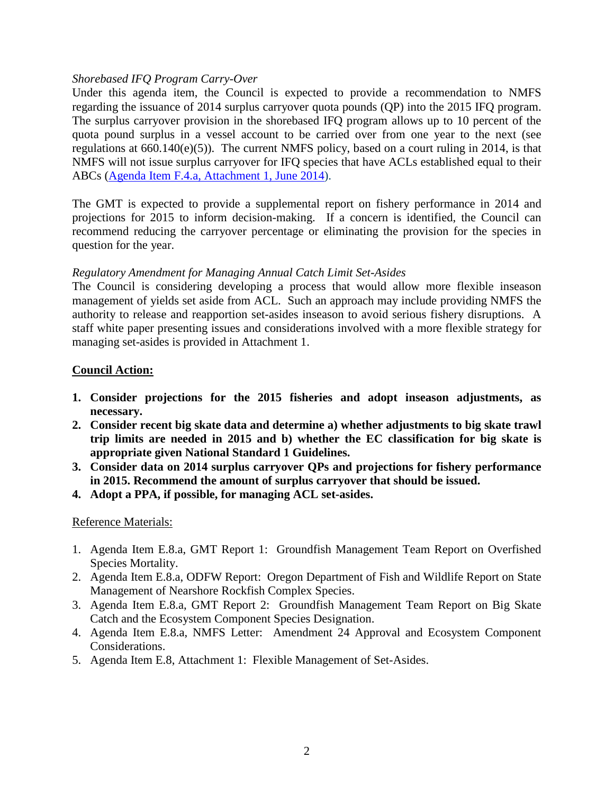#### *Shorebased IFQ Program Carry-Over*

Under this agenda item, the Council is expected to provide a recommendation to NMFS regarding the issuance of 2014 surplus carryover quota pounds (QP) into the 2015 IFQ program. The surplus carryover provision in the shorebased IFQ program allows up to 10 percent of the quota pound surplus in a vessel account to be carried over from one year to the next (see regulations at 660.140(e)(5)). The current NMFS policy, based on a court ruling in 2014, is that NMFS will not issue surplus carryover for IFQ species that have ACLs established equal to their ABCs [\(Agenda Item F.4.a, Attachment 1, June 2014\)](http://www.pcouncil.org/wp-content/uploads/F4a_ATT1_NMFS_Ltr_JUNE2014BB.pdf).

The GMT is expected to provide a supplemental report on fishery performance in 2014 and projections for 2015 to inform decision-making. If a concern is identified, the Council can recommend reducing the carryover percentage or eliminating the provision for the species in question for the year.

### *Regulatory Amendment for Managing Annual Catch Limit Set-Asides*

The Council is considering developing a process that would allow more flexible inseason management of yields set aside from ACL. Such an approach may include providing NMFS the authority to release and reapportion set-asides inseason to avoid serious fishery disruptions. A staff white paper presenting issues and considerations involved with a more flexible strategy for managing set-asides is provided in Attachment 1.

### **Council Action:**

- **1. Consider projections for the 2015 fisheries and adopt inseason adjustments, as necessary.**
- **2. Consider recent big skate data and determine a) whether adjustments to big skate trawl trip limits are needed in 2015 and b) whether the EC classification for big skate is appropriate given National Standard 1 Guidelines.**
- **3. Consider data on 2014 surplus carryover QPs and projections for fishery performance in 2015. Recommend the amount of surplus carryover that should be issued.**
- **4. Adopt a PPA, if possible, for managing ACL set-asides.**

## Reference Materials:

- 1. Agenda Item E.8.a, GMT Report 1: Groundfish Management Team Report on Overfished Species Mortality.
- 2. Agenda Item E.8.a, ODFW Report: Oregon Department of Fish and Wildlife Report on State Management of Nearshore Rockfish Complex Species.
- 3. Agenda Item E.8.a, GMT Report 2: Groundfish Management Team Report on Big Skate Catch and the Ecosystem Component Species Designation.
- 4. Agenda Item E.8.a, NMFS Letter: Amendment 24 Approval and Ecosystem Component Considerations.
- 5. Agenda Item E.8, Attachment 1: Flexible Management of Set-Asides.